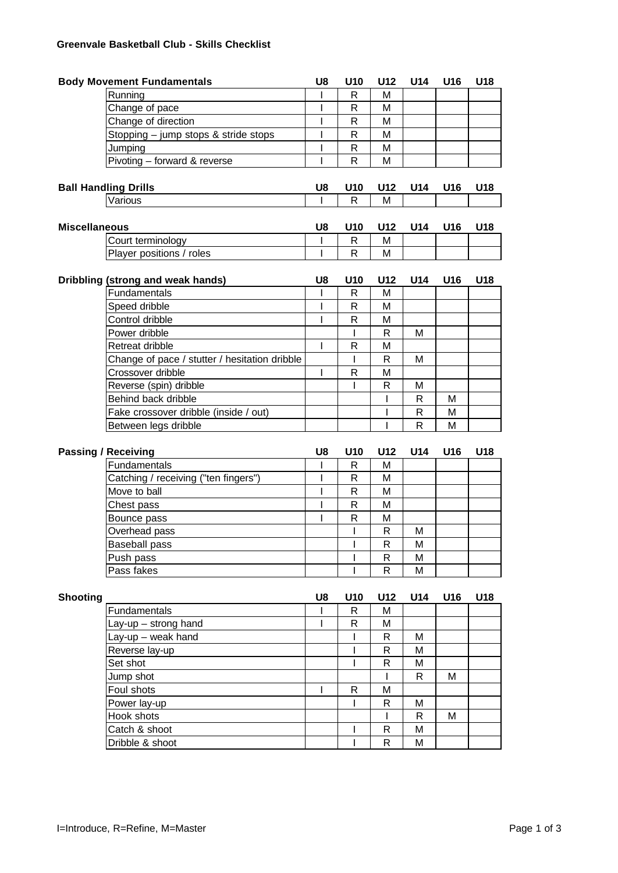## **Greenvale Basketball Club - Skills Checklist**

|                      | <b>Body Movement Fundamentals</b>             | U8      | U10               | U12                         | U14          | U16 | U18 |
|----------------------|-----------------------------------------------|---------|-------------------|-----------------------------|--------------|-----|-----|
|                      | Running                                       |         | R                 | M                           |              |     |     |
|                      | Change of pace                                | I       | R                 | M                           |              |     |     |
|                      | Change of direction                           | I       | R                 | M                           |              |     |     |
|                      | Stopping - jump stops & stride stops          | I       | R                 | M                           |              |     |     |
|                      | Jumping                                       | I       | $\mathsf{R}$      | M                           |              |     |     |
|                      | Pivoting - forward & reverse                  | I       | R                 | M                           |              |     |     |
|                      |                                               |         |                   |                             |              |     |     |
|                      | <b>Ball Handling Drills</b>                   | U8      | U10               | U12                         | U14          | U16 | U18 |
|                      | Various                                       | ı       | R                 | M                           |              |     |     |
|                      |                                               |         |                   |                             |              |     |     |
| <b>Miscellaneous</b> |                                               | U8      | U10               | U12                         | U14          | U16 | U18 |
|                      | Court terminology                             | I       | R                 | M                           |              |     |     |
|                      | Player positions / roles                      | I       | R                 | M                           |              |     |     |
|                      | Dribbling (strong and weak hands)             | U8      | U10               | U12                         | U14          | U16 | U18 |
|                      | Fundamentals                                  | I       | R                 | M                           |              |     |     |
|                      | Speed dribble                                 | I       | R                 | M                           |              |     |     |
|                      | Control dribble                               | I       | R                 | M                           |              |     |     |
|                      |                                               |         | $\mathsf{I}$      |                             |              |     |     |
|                      | Power dribble                                 | ı       |                   | $\mathsf{R}$                | М            |     |     |
|                      | Retreat dribble                               |         | R                 | M                           |              |     |     |
|                      | Change of pace / stutter / hesitation dribble |         | I                 | $\mathsf{R}$                | M            |     |     |
|                      | Crossover dribble                             | I       | R                 | M                           |              |     |     |
|                      | Reverse (spin) dribble                        |         | $\mathsf{l}$      | $\mathsf{R}$                | М            |     |     |
|                      | Behind back dribble                           |         |                   | I                           | $\mathsf{R}$ | м   |     |
|                      | Fake crossover dribble (inside / out)         |         |                   | I                           | R            | M   |     |
|                      |                                               |         |                   |                             |              |     |     |
|                      | Between legs dribble                          |         |                   | ı                           | R            | M   |     |
|                      |                                               |         |                   |                             |              |     |     |
|                      | <b>Passing / Receiving</b>                    | U8<br>I | U10               | U12                         | U14          | U16 | U18 |
|                      | Fundamentals                                  |         | R                 | M                           |              |     |     |
|                      | Catching / receiving ("ten fingers")          | I       | R                 | M                           |              |     |     |
|                      | Move to ball                                  | I       | R                 | M                           |              |     |     |
|                      | Chest pass                                    | I       | R                 | M                           |              |     |     |
|                      | Bounce pass                                   | I       | R                 | M                           |              |     |     |
|                      | Overhead pass                                 |         | I                 | $\mathsf{R}$                | М            |     |     |
|                      | <b>Baseball pass</b>                          |         | I                 | $\mathsf{R}$                | M            |     |     |
|                      | Push pass                                     |         | I                 | $\mathsf R$                 | М            |     |     |
|                      | Pass fakes                                    |         | I                 | $\mathsf R$                 | M            |     |     |
|                      |                                               |         |                   |                             |              |     |     |
| <b>Shooting</b>      |                                               | U8<br>I | U10               | U12                         | U14          | U16 | U18 |
|                      | Fundamentals                                  | I       | R                 | M                           |              |     |     |
|                      | Lay-up $-$ strong hand                        |         | R                 | M                           |              |     |     |
|                      | Lay-up - weak hand                            |         | I<br>I            | $\mathsf R$                 | М            |     |     |
|                      | Reverse lay-up                                |         | I                 | $\mathsf{R}$                | м            |     |     |
|                      | Set shot                                      |         |                   | $\mathsf{R}$                | М            |     |     |
|                      | Jump shot                                     |         |                   |                             | R            | M   |     |
|                      | Foul shots                                    | I       | R                 | М                           |              |     |     |
|                      | Power lay-up                                  |         | I                 | R                           | M            |     |     |
|                      | Hook shots                                    |         |                   | ı                           | R            | м   |     |
|                      | Catch & shoot<br>Dribble & shoot              |         | $\mathsf{I}$<br>T | $\mathsf R$<br>$\mathsf{R}$ | M<br>Μ       |     |     |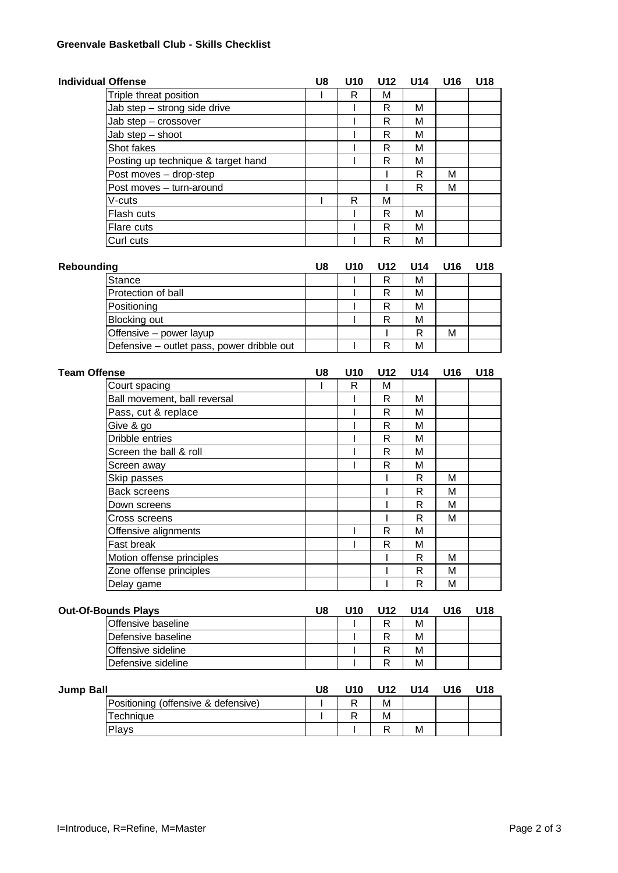## **Greenvale Basketball Club - Skills Checklist**

| <b>Individual Offense</b>  |                                            | U8 | U10          | U12          | U14          | U16 | U18 |
|----------------------------|--------------------------------------------|----|--------------|--------------|--------------|-----|-----|
|                            | Triple threat position                     | L  | R            | M            |              |     |     |
|                            | Jab step - strong side drive               |    | I            | $\mathsf{R}$ | M            |     |     |
|                            | Jab step - crossover                       |    | I            | $\mathsf{R}$ | M            |     |     |
|                            | Jab step - shoot                           |    | ı            | R            | М            |     |     |
|                            | Shot fakes                                 |    | I            | $\mathsf{R}$ | M            |     |     |
|                            | Posting up technique & target hand         |    | I            | $\mathsf{R}$ | М            |     |     |
|                            | Post moves - drop-step                     |    |              | I            | R            | M   |     |
|                            | Post moves - turn-around                   |    |              | ı            | R            | М   |     |
|                            | V-cuts                                     | I  | $\mathsf{R}$ | M            |              |     |     |
|                            | Flash cuts                                 |    | I            | $\mathsf{R}$ | М            |     |     |
|                            | Flare cuts                                 |    | I            | $\mathsf{R}$ | М            |     |     |
|                            | Curl cuts                                  |    |              | R            | М            |     |     |
|                            |                                            |    |              |              |              |     |     |
| Rebounding                 |                                            | U8 | U10          | U12          | U14          | U16 | U18 |
|                            | <b>Stance</b>                              |    | I            | R            | М            |     |     |
|                            | Protection of ball                         |    | I            | $\mathsf{R}$ | М            |     |     |
|                            | Positioning                                |    | I            | $\mathsf{R}$ | М            |     |     |
|                            | <b>Blocking out</b>                        |    | I            | $\mathsf{R}$ | М            |     |     |
|                            | Offensive - power layup                    |    |              |              | R            | M   |     |
|                            | Defensive - outlet pass, power dribble out |    | I            | R            | М            |     |     |
|                            |                                            |    |              |              |              |     |     |
| <b>Team Offense</b>        |                                            | U8 | U10          | U12          | U14          | U16 | U18 |
|                            | Court spacing                              | 1  | R            | M            |              |     |     |
|                            | Ball movement, ball reversal               |    | I            | $\mathsf{R}$ | М            |     |     |
|                            | Pass, cut & replace                        |    | I            | $\mathsf{R}$ | М            |     |     |
|                            | Give & go                                  |    | I            | $\mathsf{R}$ | М            |     |     |
|                            | Dribble entries                            |    | I            | $\mathsf R$  | М            |     |     |
|                            | Screen the ball & roll                     |    | ı            | $\mathsf{R}$ | М            |     |     |
|                            | Screen away                                |    | I            | $\mathsf{R}$ | M            |     |     |
|                            | Skip passes                                |    |              | I            | R            | M   |     |
|                            | <b>Back screens</b>                        |    |              | ı            | $\mathsf{R}$ | М   |     |
|                            | Down screens                               |    |              | ı            | $\mathsf{R}$ | M   |     |
|                            | Cross screens                              |    |              | ı            | $\mathsf{R}$ | M   |     |
|                            | Offensive alignments                       |    | I            | $\mathsf{R}$ | M            |     |     |
|                            | Fast break                                 |    | I            | $\mathsf{R}$ | M            |     |     |
|                            | Motion offense principles                  |    |              |              | R            | М   |     |
|                            | Zone offense principles                    |    |              |              | $\mathsf R$  | M   |     |
|                            | Delay game                                 |    |              |              | $\mathsf R$  | M   |     |
| <b>Out-Of-Bounds Plays</b> |                                            | U8 | U10          | U12          | U14          | U16 | U18 |
|                            | Offensive baseline                         |    |              | $\mathsf{R}$ | M            |     |     |
|                            | Defensive baseline                         |    | ı            | $\mathsf{R}$ | M            |     |     |
|                            | Offensive sideline                         |    | I            | $\mathsf{R}$ | М            |     |     |
|                            | Defensive sideline                         |    | ı            | $\mathsf{R}$ | M            |     |     |
|                            |                                            |    |              |              |              |     |     |
| <b>Jump Ball</b>           |                                            | U8 | U10          | U12          | U14          | U16 | U18 |
|                            | Positioning (offensive & defensive)        | I  | R            | M            |              |     |     |
|                            | Technique                                  | I  | R            | M            |              |     |     |
|                            | Plays                                      |    | I            | ${\sf R}$    | М            |     |     |
|                            |                                            |    |              |              |              |     |     |